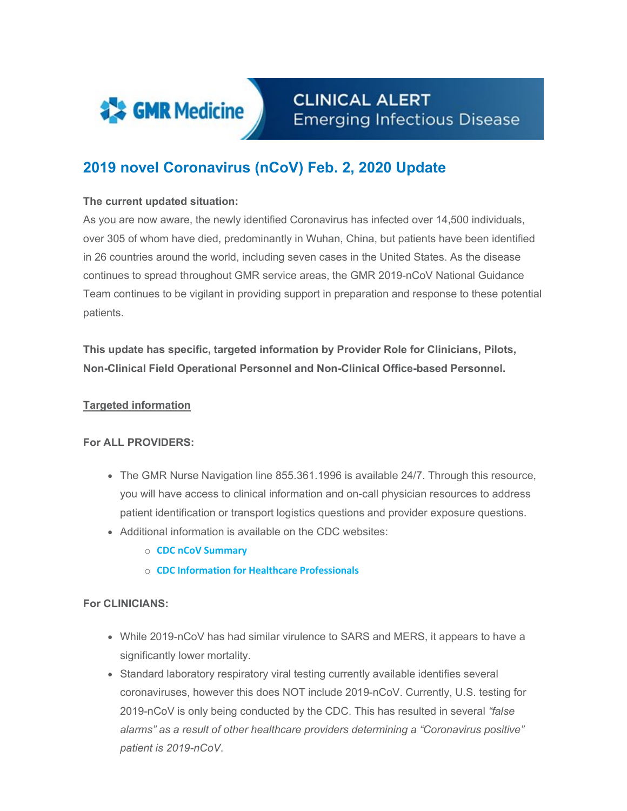

**CLINICAL ALERT Emerging Infectious Disease** 

# **2019 novel Coronavirus (nCoV) Feb. 2, 2020 Update**

### **The current updated situation:**

As you are now aware, the newly identified Coronavirus has infected over 14,500 individuals, over 305 of whom have died, predominantly in Wuhan, China, but patients have been identified in 26 countries around the world, including seven cases in the United States. As the disease continues to spread throughout GMR service areas, the GMR 2019-nCoV National Guidance Team continues to be vigilant in providing support in preparation and response to these potential patients.

**This update has specific, targeted information by Provider Role for Clinicians, Pilots, Non-Clinical Field Operational Personnel and Non-Clinical Office-based Personnel.**

#### **Targeted information**

#### **For ALL PROVIDERS:**

- The GMR Nurse Navigation line 855.361.1996 is available 24/7. Through this resource, you will have access to clinical information and on-call physician resources to address patient identification or transport logistics questions and provider exposure questions.
- Additional information is available on the CDC websites:
	- o **[CDC nCoV Summary](https://www.cdc.gov/coronavirus/2019-nCoV/summary.html)**
	- o **[CDC Information for Healthcare Professionals](https://www.cdc.gov/coronavirus/2019-nCoV/hcp/index.html)**

#### **For CLINICIANS:**

- While 2019-nCoV has had similar virulence to SARS and MERS, it appears to have a significantly lower mortality.
- Standard laboratory respiratory viral testing currently available identifies several coronaviruses, however this does NOT include 2019-nCoV. Currently, U.S. testing for 2019-nCoV is only being conducted by the CDC. This has resulted in several *"false alarms" as a result of other healthcare providers determining a "Coronavirus positive" patient is 2019-nCoV*.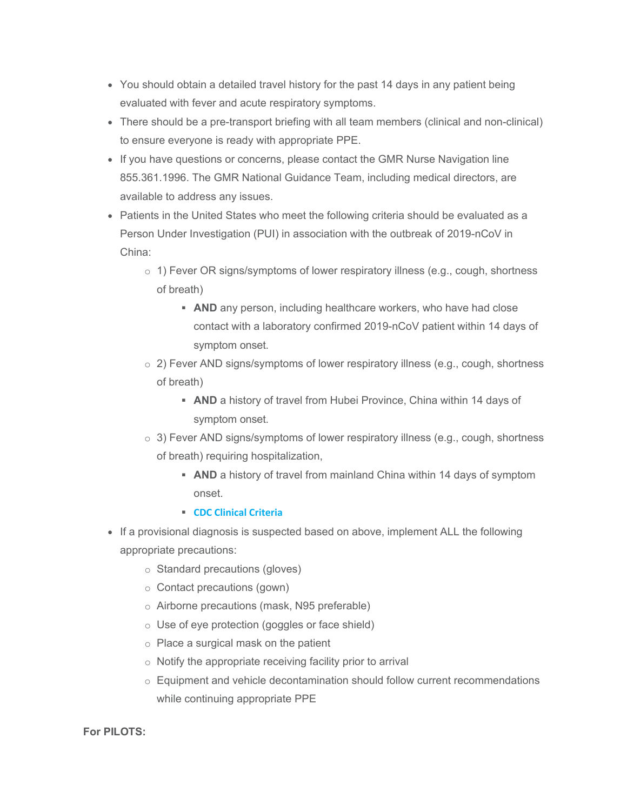- You should obtain a detailed travel history for the past 14 days in any patient being evaluated with fever and acute respiratory symptoms.
- There should be a pre-transport briefing with all team members (clinical and non-clinical) to ensure everyone is ready with appropriate PPE.
- If you have questions or concerns, please contact the GMR Nurse Navigation line 855.361.1996. The GMR National Guidance Team, including medical directors, are available to address any issues.
- Patients in the United States who meet the following criteria should be evaluated as a Person Under Investigation (PUI) in association with the outbreak of 2019-nCoV in China:
	- o 1) Fever OR signs/symptoms of lower respiratory illness (e.g., cough, shortness of breath)
		- **AND** any person, including healthcare workers, who have had close contact with a laboratory confirmed 2019-nCoV patient within 14 days of symptom onset.
	- $\circ$  2) Fever AND signs/symptoms of lower respiratory illness (e.g., cough, shortness of breath)
		- **AND** a history of travel from Hubei Province, China within 14 days of symptom onset.
	- $\circ$  3) Fever AND signs/symptoms of lower respiratory illness (e.g., cough, shortness of breath) requiring hospitalization,
		- **AND** a history of travel from mainland China within 14 days of symptom onset.
		- **[CDC Clinical](https://www.cdc.gov/coronavirus/2019-nCoV/hcp/clinical-criteria.html) Criteria**
- If a provisional diagnosis is suspected based on above, implement ALL the following appropriate precautions:
	- o Standard precautions (gloves)
	- o Contact precautions (gown)
	- o Airborne precautions (mask, N95 preferable)
	- o Use of eye protection (goggles or face shield)
	- o Place a surgical mask on the patient
	- $\circ$  Notify the appropriate receiving facility prior to arrival
	- $\circ$  Equipment and vehicle decontamination should follow current recommendations while continuing appropriate PPE

#### **For PILOTS:**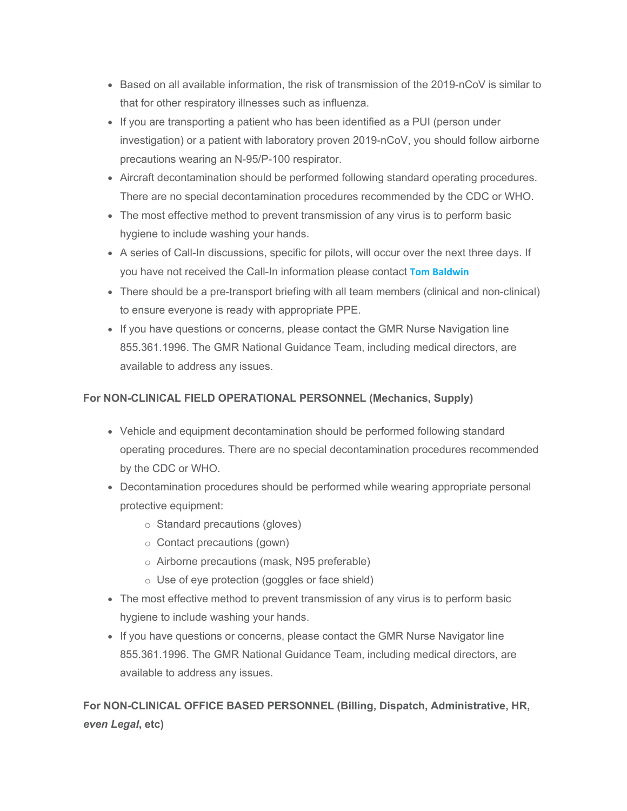- Based on all available information, the risk of transmission of the 2019-nCoV is similar to that for other respiratory illnesses such as influenza.
- If you are transporting a patient who has been identified as a PUI (person under investigation) or a patient with laboratory proven 2019-nCoV, you should follow airborne precautions wearing an N-95/P-100 respirator.
- Aircraft decontamination should be performed following standard operating procedures. There are no special decontamination procedures recommended by the CDC or WHO.
- The most effective method to prevent transmission of any virus is to perform basic hygiene to include washing your hands.
- A series of Call-In discussions, specific for pilots, will occur over the next three days. If you have not received the Call-In information please contact **[Tom Baldwin](mailto:Tom.Baldwin@gmr.net)**
- There should be a pre-transport briefing with all team members (clinical and non-clinical) to ensure everyone is ready with appropriate PPE.
- If you have questions or concerns, please contact the GMR Nurse Navigation line 855.361.1996. The GMR National Guidance Team, including medical directors, are available to address any issues.

## **For NON-CLINICAL FIELD OPERATIONAL PERSONNEL (Mechanics, Supply)**

- Vehicle and equipment decontamination should be performed following standard operating procedures. There are no special decontamination procedures recommended by the CDC or WHO.
- Decontamination procedures should be performed while wearing appropriate personal protective equipment:
	- o Standard precautions (gloves)
	- o Contact precautions (gown)
	- o Airborne precautions (mask, N95 preferable)
	- o Use of eye protection (goggles or face shield)
- The most effective method to prevent transmission of any virus is to perform basic hygiene to include washing your hands.
- If you have questions or concerns, please contact the GMR Nurse Navigator line 855.361.1996. The GMR National Guidance Team, including medical directors, are available to address any issues.

**For NON-CLINICAL OFFICE BASED PERSONNEL (Billing, Dispatch, Administrative, HR,**  *even Legal***, etc)**